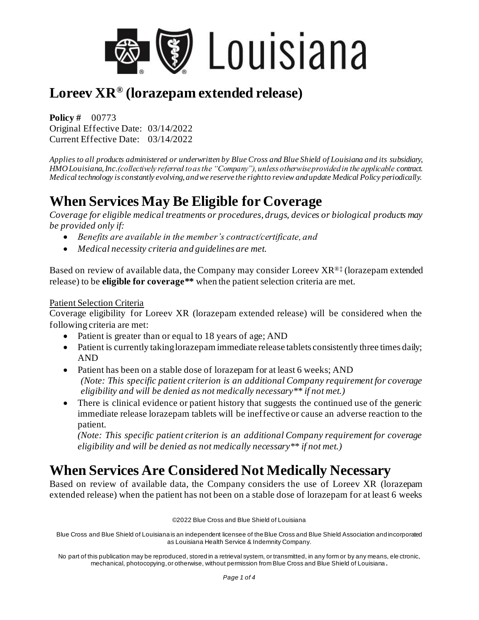

**Policy #** 00773 Original Effective Date: 03/14/2022 Current Effective Date: 03/14/2022

*Applies to all products administered or underwritten by Blue Cross and Blue Shield of Louisiana and its subsidiary, HMO Louisiana, Inc.(collectively referred to as the "Company"), unless otherwise provided in the applicable contract. Medical technology is constantly evolving, and we reserve the right to review and update Medical Policy periodically.*

# **When Services May Be Eligible for Coverage**

*Coverage for eligible medical treatments or procedures, drugs, devices or biological products may be provided only if:*

- *Benefits are available in the member's contract/certificate, and*
- *Medical necessity criteria and guidelines are met.*

Based on review of available data, the Company may consider Loreev XR®‡ (lorazepam extended release) to be **eligible for coverage\*\*** when the patient selection criteria are met.

#### Patient Selection Criteria

Coverage eligibility for Loreev XR (lorazepam extended release) will be considered when the following criteria are met:

- Patient is greater than or equal to 18 years of age; AND
- Patient is currently taking lorazepam immediate release tablets consistently three times daily; AND
- Patient has been on a stable dose of lorazepam for at least 6 weeks; AND *(Note: This specific patient criterion is an additional Company requirement for coverage eligibility and will be denied as not medically necessary\*\* if not met.)*
- There is clinical evidence or patient history that suggests the continued use of the generic immediate release lorazepam tablets will be ineffective or cause an adverse reaction to the patient.

*(Note: This specific patient criterion is an additional Company requirement for coverage eligibility and will be denied as not medically necessary\*\* if not met.)*

## **When Services Are Considered Not Medically Necessary**

Based on review of available data, the Company considers the use of Loreev XR (lorazepam extended release) when the patient has not been on a stable dose of lorazepam for at least 6 weeks

©2022 Blue Cross and Blue Shield of Louisiana

Blue Cross and Blue Shield of Louisiana is an independent licensee of the Blue Cross and Blue Shield Association and incorporated as Louisiana Health Service & Indemnity Company.

No part of this publication may be reproduced, stored in a retrieval system, or transmitted, in any form or by any means, ele ctronic, mechanical, photocopying, or otherwise, without permission from Blue Cross and Blue Shield of Louisiana **.**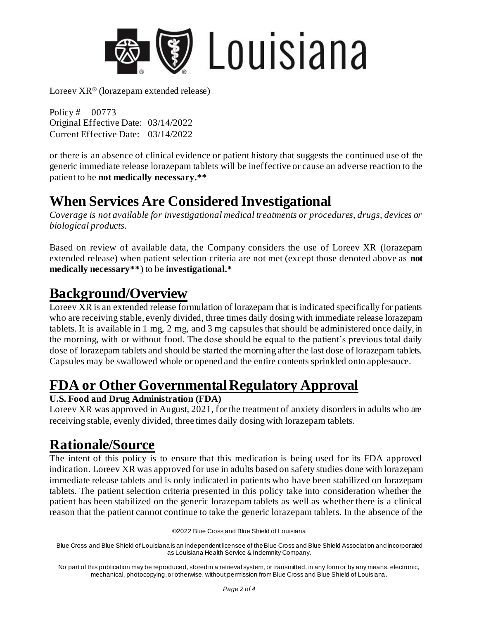

Policy # 00773 Original Effective Date: 03/14/2022 Current Effective Date: 03/14/2022

or there is an absence of clinical evidence or patient history that suggests the continued use of the generic immediate release lorazepam tablets will be ineffective or cause an adverse reaction to the patient to be **not medically necessary.\*\***

# **When Services Are Considered Investigational**

*Coverage is not available for investigational medical treatments or procedures, drugs, devices or biological products.*

Based on review of available data, the Company considers the use of Loreev XR (lorazepam extended release) when patient selection criteria are not met (except those denoted above as **not medically necessary\*\***) to be **investigational.\***

# **Background/Overview**

Loreev XR is an extended release formulation of lorazepam that is indicated specifically for patients who are receiving stable, evenly divided, three times daily dosing with immediate release lorazepam tablets. It is available in 1 mg, 2 mg, and 3 mg capsules that should be administered once daily, in the morning, with or without food. The dose should be equal to the patient's previous total daily dose of lorazepam tablets and should be started the morning after the last dose of lorazepam tablets. Capsules may be swallowed whole or opened and the entire contents sprinkled onto applesauce.

# **FDA or Other Governmental Regulatory Approval**

#### **U.S. Food and Drug Administration (FDA)**

Loreev XR was approved in August, 2021, for the treatment of anxiety disorders in adults who are receiving stable, evenly divided, three times daily dosing with lorazepam tablets.

## **Rationale/Source**

The intent of this policy is to ensure that this medication is being used for its FDA approved indication. Loreev XR was approved for use in adults based on safety studies done with lorazepam immediate release tablets and is only indicated in patients who have been stabilized on lorazepam tablets. The patient selection criteria presented in this policy take into consideration whether the patient has been stabilized on the generic lorazepam tablets as well as whether there is a clinical reason that the patient cannot continue to take the generic lorazepam tablets. In the absence of the

©2022 Blue Cross and Blue Shield of Louisiana

Blue Cross and Blue Shield of Louisiana is an independent licensee of the Blue Cross and Blue Shield Association and incorporated as Louisiana Health Service & Indemnity Company.

No part of this publication may be reproduced, stored in a retrieval system, or transmitted, in any form or by any means, electronic, mechanical, photocopying, or otherwise, without permission from Blue Cross and Blue Shield of Louisiana **.**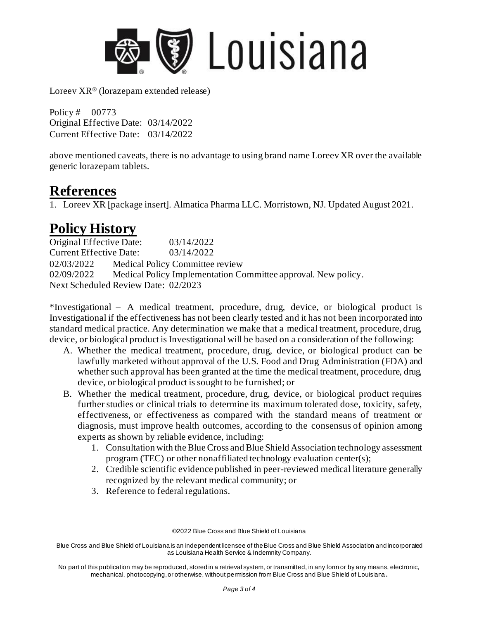

Policy # 00773 Original Effective Date: 03/14/2022 Current Effective Date: 03/14/2022

above mentioned caveats, there is no advantage to using brand name Loreev XR over the available generic lorazepam tablets.

### **References**

1. Loreev XR [package insert]. Almatica Pharma LLC. Morristown, NJ. Updated August 2021.

# **Policy History**

Original Effective Date: 03/14/2022 Current Effective Date: 03/14/2022 02/03/2022 Medical Policy Committee review 02/09/2022 Medical Policy Implementation Committee approval. New policy. Next Scheduled Review Date: 02/2023

\*Investigational – A medical treatment, procedure, drug, device, or biological product is Investigational if the effectiveness has not been clearly tested and it has not been incorporated into standard medical practice. Any determination we make that a medical treatment, procedure, drug, device, or biological product is Investigational will be based on a consideration of the following:

- A. Whether the medical treatment, procedure, drug, device, or biological product can be lawfully marketed without approval of the U.S. Food and Drug Administration (FDA) and whether such approval has been granted at the time the medical treatment, procedure, drug, device, or biological product is sought to be furnished; or
- B. Whether the medical treatment, procedure, drug, device, or biological product requires further studies or clinical trials to determine its maximum tolerated dose, toxicity, safety, effectiveness, or effectiveness as compared with the standard means of treatment or diagnosis, must improve health outcomes, according to the consensus of opinion among experts as shown by reliable evidence, including:
	- 1. Consultation with the Blue Cross and Blue Shield Association technology assessment program (TEC) or other nonaffiliated technology evaluation center(s);
	- 2. Credible scientific evidence published in peer-reviewed medical literature generally recognized by the relevant medical community; or
	- 3. Reference to federal regulations.

©2022 Blue Cross and Blue Shield of Louisiana

Blue Cross and Blue Shield of Louisiana is an independent licensee of the Blue Cross and Blue Shield Association and incorporated as Louisiana Health Service & Indemnity Company.

No part of this publication may be reproduced, stored in a retrieval system, or transmitted, in any form or by any means, electronic, mechanical, photocopying, or otherwise, without permission from Blue Cross and Blue Shield of Louisiana **.**